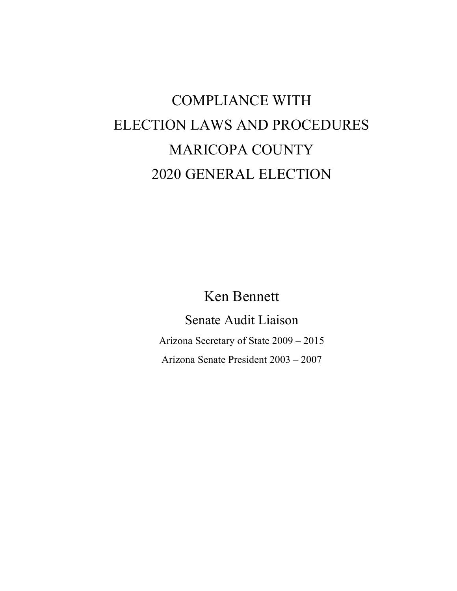# COMPLIANCE WITH ELECTION LAWS AND PROCEDURES MARICOPA COUNTY 2020 GENERAL ELECTION

Ken Bennett

Senate Audit Liaison Arizona Secretary of State 2009 – 2015 Arizona Senate President 2003 – 2007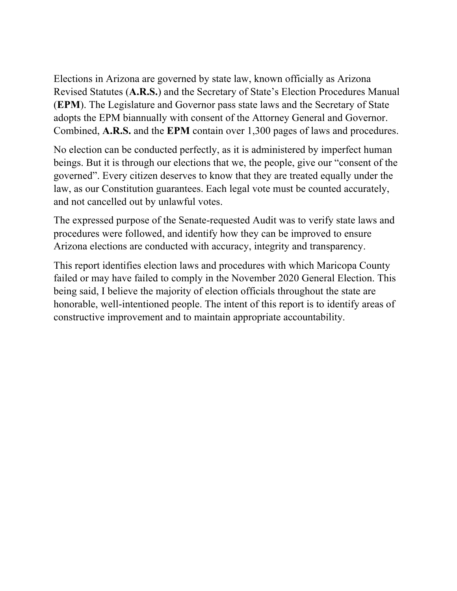Elections in Arizona are governed by state law, known officially as Arizona Revised Statutes (**A.R.S.**) and the Secretary of State's Election Procedures Manual (**EPM**). The Legislature and Governor pass state laws and the Secretary of State adopts the EPM biannually with consent of the Attorney General and Governor. Combined, **A.R.S.** and the **EPM** contain over 1,300 pages of laws and procedures.

No election can be conducted perfectly, as it is administered by imperfect human beings. But it is through our elections that we, the people, give our "consent of the governed". Every citizen deserves to know that they are treated equally under the law, as our Constitution guarantees. Each legal vote must be counted accurately, and not cancelled out by unlawful votes.

The expressed purpose of the Senate-requested Audit was to verify state laws and procedures were followed, and identify how they can be improved to ensure Arizona elections are conducted with accuracy, integrity and transparency.

This report identifies election laws and procedures with which Maricopa County failed or may have failed to comply in the November 2020 General Election. This being said, I believe the majority of election officials throughout the state are honorable, well-intentioned people. The intent of this report is to identify areas of constructive improvement and to maintain appropriate accountability.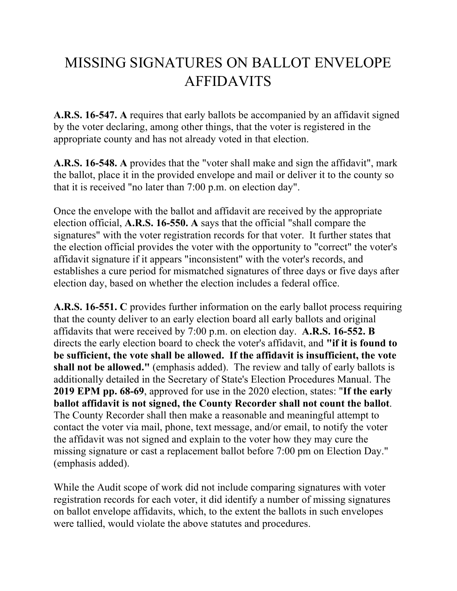## MISSING SIGNATURES ON BALLOT ENVELOPE AFFIDAVITS

**A.R.S. 16-547. A** requires that early ballots be accompanied by an affidavit signed by the voter declaring, among other things, that the voter is registered in the appropriate county and has not already voted in that election.

**A.R.S. 16-548. A** provides that the "voter shall make and sign the affidavit", mark the ballot, place it in the provided envelope and mail or deliver it to the county so that it is received "no later than 7:00 p.m. on election day".

Once the envelope with the ballot and affidavit are received by the appropriate election official, **A.R.S. 16-550. A** says that the official "shall compare the signatures" with the voter registration records for that voter. It further states that the election official provides the voter with the opportunity to "correct" the voter's affidavit signature if it appears "inconsistent" with the voter's records, and establishes a cure period for mismatched signatures of three days or five days after election day, based on whether the election includes a federal office.

**A.R.S. 16-551. C** provides further information on the early ballot process requiring that the county deliver to an early election board all early ballots and original affidavits that were received by 7:00 p.m. on election day. **A.R.S. 16-552. B** directs the early election board to check the voter's affidavit, and **"if it is found to be sufficient, the vote shall be allowed. If the affidavit is insufficient, the vote shall not be allowed."** (emphasis added). The review and tally of early ballots is additionally detailed in the Secretary of State's Election Procedures Manual. The **2019 EPM pp. 68-69**, approved for use in the 2020 election, states: "**If the early ballot affidavit is not signed, the County Recorder shall not count the ballot**. The County Recorder shall then make a reasonable and meaningful attempt to contact the voter via mail, phone, text message, and/or email, to notify the voter the affidavit was not signed and explain to the voter how they may cure the missing signature or cast a replacement ballot before 7:00 pm on Election Day." (emphasis added).

While the Audit scope of work did not include comparing signatures with voter registration records for each voter, it did identify a number of missing signatures on ballot envelope affidavits, which, to the extent the ballots in such envelopes were tallied, would violate the above statutes and procedures.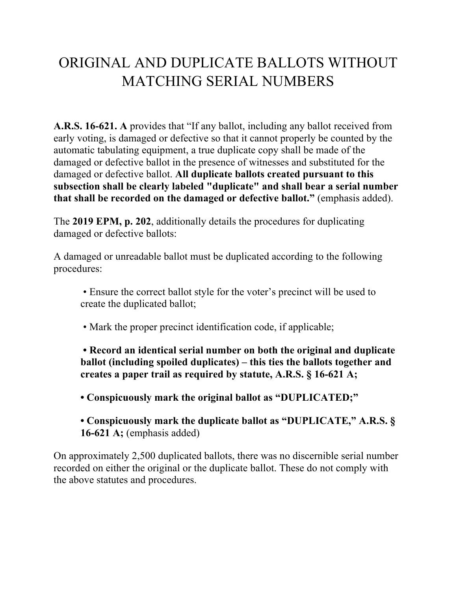### ORIGINAL AND DUPLICATE BALLOTS WITHOUT MATCHING SERIAL NUMBERS

**A.R.S. 16-621. A** provides that "If any ballot, including any ballot received from early voting, is damaged or defective so that it cannot properly be counted by the automatic tabulating equipment, a true duplicate copy shall be made of the damaged or defective ballot in the presence of witnesses and substituted for the damaged or defective ballot. **All duplicate ballots created pursuant to this subsection shall be clearly labeled "duplicate" and shall bear a serial number that shall be recorded on the damaged or defective ballot."** (emphasis added).

The **2019 EPM, p. 202**, additionally details the procedures for duplicating damaged or defective ballots:

A damaged or unreadable ballot must be duplicated according to the following procedures:

• Ensure the correct ballot style for the voter's precinct will be used to create the duplicated ballot;

• Mark the proper precinct identification code, if applicable;

**• Record an identical serial number on both the original and duplicate ballot (including spoiled duplicates) – this ties the ballots together and creates a paper trail as required by statute, A.R.S. § 16-621 A;** 

**• Conspicuously mark the original ballot as "DUPLICATED;"** 

**• Conspicuously mark the duplicate ballot as "DUPLICATE," A.R.S. § 16-621 A;** (emphasis added)

On approximately 2,500 duplicated ballots, there was no discernible serial number recorded on either the original or the duplicate ballot. These do not comply with the above statutes and procedures.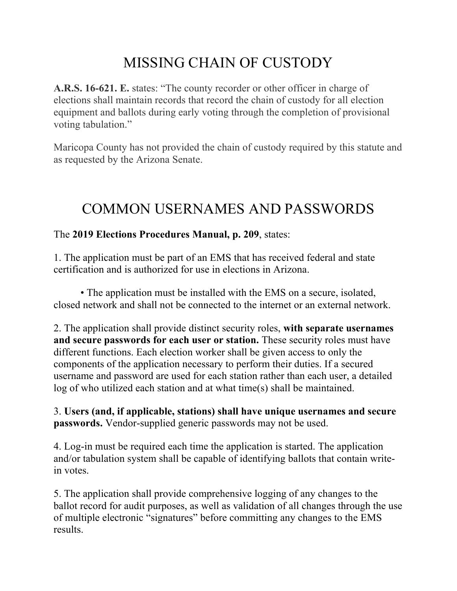## MISSING CHAIN OF CUSTODY

**A.R.S. 16-621. E.** states: "The county recorder or other officer in charge of elections shall maintain records that record the chain of custody for all election equipment and ballots during early voting through the completion of provisional voting tabulation."

Maricopa County has not provided the chain of custody required by this statute and as requested by the Arizona Senate.

### COMMON USERNAMES AND PASSWORDS

#### The **2019 Elections Procedures Manual, p. 209**, states:

1. The application must be part of an EMS that has received federal and state certification and is authorized for use in elections in Arizona.

• The application must be installed with the EMS on a secure, isolated, closed network and shall not be connected to the internet or an external network.

2. The application shall provide distinct security roles, **with separate usernames and secure passwords for each user or station.** These security roles must have different functions. Each election worker shall be given access to only the components of the application necessary to perform their duties. If a secured username and password are used for each station rather than each user, a detailed log of who utilized each station and at what time(s) shall be maintained.

3. **Users (and, if applicable, stations) shall have unique usernames and secure passwords.** Vendor-supplied generic passwords may not be used.

4. Log-in must be required each time the application is started. The application and/or tabulation system shall be capable of identifying ballots that contain writein votes.

5. The application shall provide comprehensive logging of any changes to the ballot record for audit purposes, as well as validation of all changes through the use of multiple electronic "signatures" before committing any changes to the EMS results.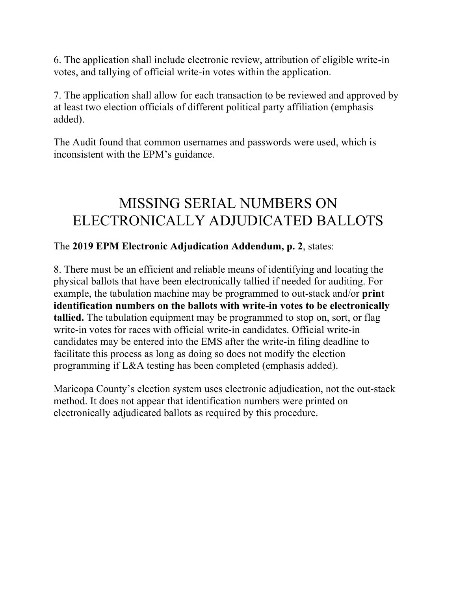6. The application shall include electronic review, attribution of eligible write-in votes, and tallying of official write-in votes within the application.

7. The application shall allow for each transaction to be reviewed and approved by at least two election officials of different political party affiliation (emphasis added).

The Audit found that common usernames and passwords were used, which is inconsistent with the EPM's guidance.

#### MISSING SERIAL NUMBERS ON ELECTRONICALLY ADJUDICATED BALLOTS

#### The **2019 EPM Electronic Adjudication Addendum, p. 2**, states:

8. There must be an efficient and reliable means of identifying and locating the physical ballots that have been electronically tallied if needed for auditing. For example, the tabulation machine may be programmed to out-stack and/or **print identification numbers on the ballots with write-in votes to be electronically tallied.** The tabulation equipment may be programmed to stop on, sort, or flag write-in votes for races with official write-in candidates. Official write-in candidates may be entered into the EMS after the write-in filing deadline to facilitate this process as long as doing so does not modify the election programming if L&A testing has been completed (emphasis added).

Maricopa County's election system uses electronic adjudication, not the out-stack method. It does not appear that identification numbers were printed on electronically adjudicated ballots as required by this procedure.